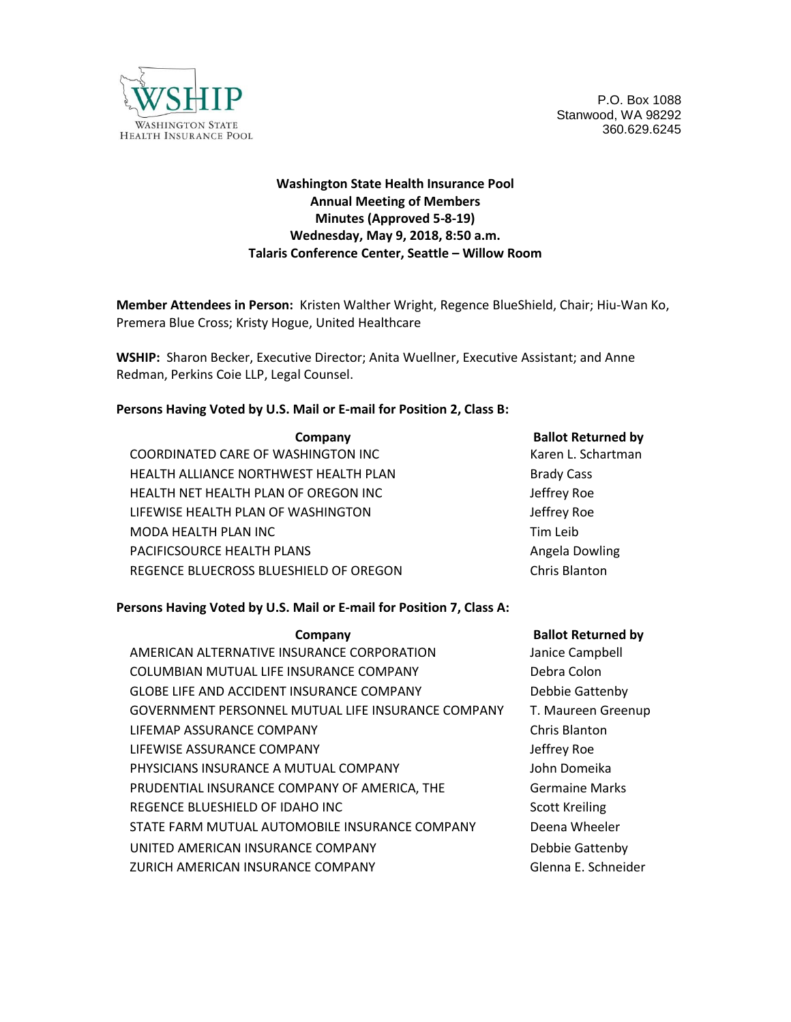

P.O. Box 1088 Stanwood, WA 98292 360.629.6245

# **Washington State Health Insurance Pool Annual Meeting of Members Minutes (Approved 5-8-19) Wednesday, May 9, 2018, 8:50 a.m. Talaris Conference Center, Seattle – Willow Room**

**Member Attendees in Person:** Kristen Walther Wright, Regence BlueShield, Chair; Hiu-Wan Ko, Premera Blue Cross; Kristy Hogue, United Healthcare

**WSHIP:** Sharon Becker, Executive Director; Anita Wuellner, Executive Assistant; and Anne Redman, Perkins Coie LLP, Legal Counsel.

#### **Persons Having Voted by U.S. Mail or E-mail for Position 2, Class B:**

| Company                                | <b>Ballot Returned by</b> |
|----------------------------------------|---------------------------|
| COORDINATED CARE OF WASHINGTON INC     | Karen L. Schartman        |
| HEALTH ALLIANCE NORTHWEST HEALTH PLAN  | <b>Brady Cass</b>         |
| HEALTH NET HEALTH PLAN OF OREGON INC   | Jeffrey Roe               |
| LIFEWISE HEALTH PLAN OF WASHINGTON     | Jeffrey Roe               |
| MODA HEALTH PLAN INC                   | Tim Leib                  |
| PACIFICSOURCE HEALTH PLANS             | Angela Dowling            |
| REGENCE BLUECROSS BLUESHIELD OF OREGON | Chris Blanton             |
|                                        |                           |

### **Persons Having Voted by U.S. Mail or E-mail for Position 7, Class A:**

| Company                                            | <b>Ballot Returned by</b> |
|----------------------------------------------------|---------------------------|
| AMERICAN ALTERNATIVE INSURANCE CORPORATION         | Janice Campbell           |
| COLUMBIAN MUTUAL LIFE INSURANCE COMPANY            | Debra Colon               |
| <b>GLOBE LIFE AND ACCIDENT INSURANCE COMPANY</b>   | Debbie Gattenby           |
| GOVERNMENT PERSONNEL MUTUAL LIFE INSURANCE COMPANY | T. Maureen Greenup        |
| LIFEMAP ASSURANCE COMPANY                          | Chris Blanton             |
| LIFEWISE ASSURANCE COMPANY                         | Jeffrey Roe               |
| PHYSICIANS INSURANCE A MUTUAL COMPANY              | John Domeika              |
| PRUDENTIAL INSURANCE COMPANY OF AMERICA, THE       | <b>Germaine Marks</b>     |
| REGENCE BLUESHIELD OF IDAHO INC                    | <b>Scott Kreiling</b>     |
| STATE FARM MUTUAL AUTOMOBILE INSURANCE COMPANY     | Deena Wheeler             |
| UNITED AMERICAN INSURANCE COMPANY                  | Debbie Gattenby           |
| ZURICH AMERICAN INSURANCE COMPANY                  | Glenna E. Schneider       |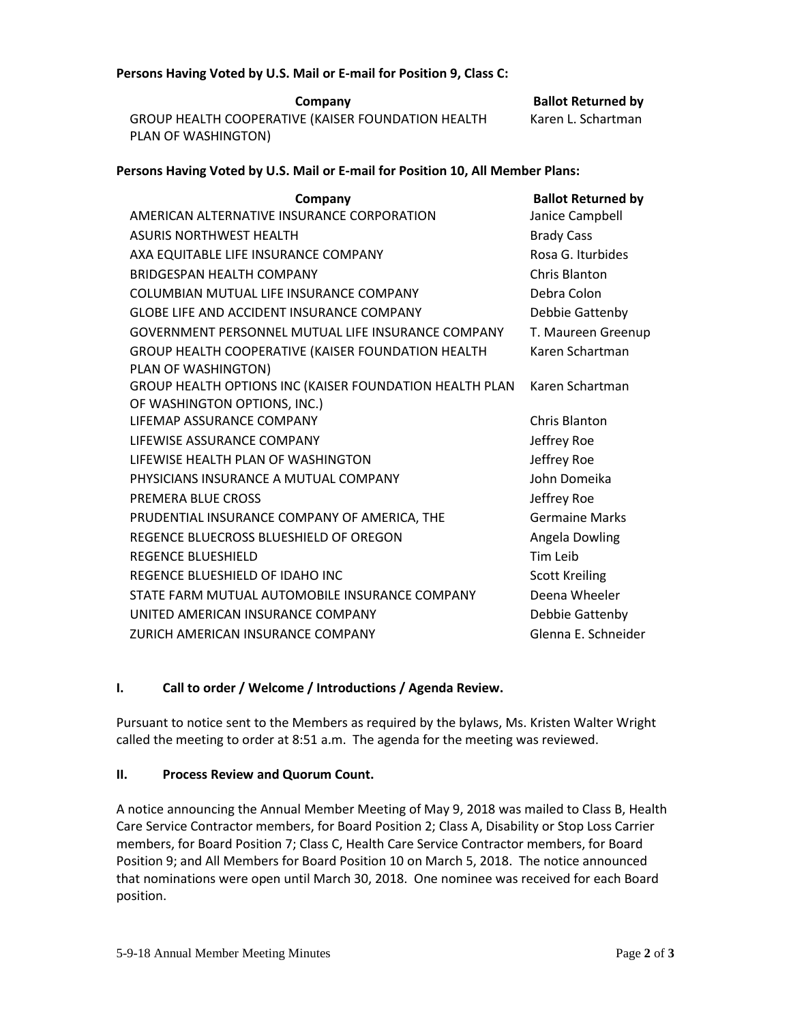#### **Persons Having Voted by U.S. Mail or E-mail for Position 9, Class C:**

**Company Company Ballot Returned by** GROUP HEALTH COOPERATIVE (KAISER FOUNDATION HEALTH PLAN OF WASHINGTON)

Karen L. Schartman

### **Persons Having Voted by U.S. Mail or E-mail for Position 10, All Member Plans:**

| Company                                                 | <b>Ballot Returned by</b> |
|---------------------------------------------------------|---------------------------|
| AMERICAN ALTERNATIVE INSURANCE CORPORATION              | Janice Campbell           |
| <b>ASURIS NORTHWEST HEALTH</b>                          | <b>Brady Cass</b>         |
| AXA EQUITABLE LIFE INSURANCE COMPANY                    | Rosa G. Iturbides         |
| <b>BRIDGESPAN HEALTH COMPANY</b>                        | Chris Blanton             |
| COLUMBIAN MUTUAL LIFF INSURANCE COMPANY                 | Debra Colon               |
| <b>GLOBE LIFE AND ACCIDENT INSURANCE COMPANY</b>        | Debbie Gattenby           |
| GOVERNMENT PERSONNEL MUTUAL LIFE INSURANCE COMPANY      | T. Maureen Greenup        |
| GROUP HEALTH COOPERATIVE (KAISER FOUNDATION HEALTH      | Karen Schartman           |
| PLAN OF WASHINGTON)                                     |                           |
| GROUP HEALTH OPTIONS INC (KAISER FOUNDATION HEALTH PLAN | Karen Schartman           |
| OF WASHINGTON OPTIONS, INC.)                            |                           |
| LIFFMAP ASSURANCF COMPANY                               | Chris Blanton             |
| LIFEWISE ASSURANCE COMPANY                              | Jeffrey Roe               |
| LIFFWISF HFALTH PLAN OF WASHINGTON                      | Jeffrey Roe               |
| PHYSICIANS INSURANCE A MUTUAL COMPANY                   | John Domeika              |
| PREMERA BLUE CROSS                                      | Jeffrey Roe               |
| PRUDENTIAL INSURANCE COMPANY OF AMERICA, THE            | <b>Germaine Marks</b>     |
| REGENCE BLUECROSS BLUESHIELD OF OREGON                  | Angela Dowling            |
| <b>REGENCE BLUESHIELD</b>                               | Tim Leib                  |
| REGENCE BLUESHIELD OF IDAHO INC                         | <b>Scott Kreiling</b>     |
| STATE FARM MUTUAL AUTOMOBILE INSURANCE COMPANY          | Deena Wheeler             |
| UNITED AMERICAN INSURANCE COMPANY                       | Debbie Gattenby           |
| ZURICH AMERICAN INSURANCE COMPANY                       | Glenna E. Schneider       |

### **I. Call to order / Welcome / Introductions / Agenda Review.**

Pursuant to notice sent to the Members as required by the bylaws, Ms. Kristen Walter Wright called the meeting to order at 8:51 a.m. The agenda for the meeting was reviewed.

### **II. Process Review and Quorum Count.**

A notice announcing the Annual Member Meeting of May 9, 2018 was mailed to Class B, Health Care Service Contractor members, for Board Position 2; Class A, Disability or Stop Loss Carrier members, for Board Position 7; Class C, Health Care Service Contractor members, for Board Position 9; and All Members for Board Position 10 on March 5, 2018. The notice announced that nominations were open until March 30, 2018. One nominee was received for each Board position.